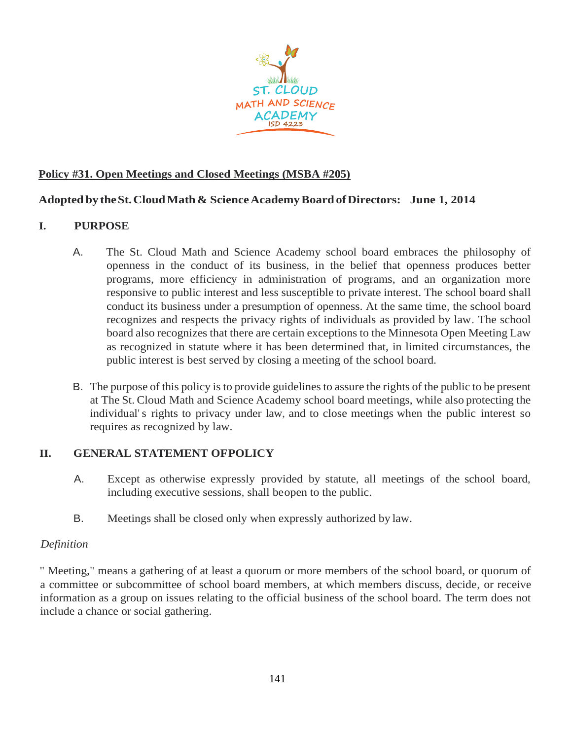

# **Policy #31. Open Meetings and Closed Meetings (MSBA #205)**

# **Adopted by theSt.CloudMath& ScienceAcademyBoardofDirectors: June 1, 2014**

# **I. PURPOSE**

- A. The St. Cloud Math and Science Academy school board embraces the philosophy of openness in the conduct of its business, in the belief that openness produces better programs, more efficiency in administration of programs, and an organization more responsive to public interest and less susceptible to private interest. The school board shall conduct its business under a presumption of openness. At the same time, the school board recognizes and respects the privacy rights of individuals as provided by law. The school board also recognizes that there are certain exceptions to the Minnesota Open Meeting Law as recognized in statute where it has been determined that, in limited circumstances, the public interest is best served by closing a meeting of the school board.
- B. The purpose of this policy is to provide guidelines to assure the rights of the public to be present at The St. Cloud Math and Science Academy school board meetings, while also protecting the individual's rights to privacy under law, and to close meetings when the public interest so requires as recognized by law.

# **II. GENERAL STATEMENT OFPOLICY**

- A. Except as otherwise expressly provided by statute, all meetings of the school board, including executive sessions, shall beopen to the public.
- B. Meetings shall be closed only when expressly authorized by law.

# *Definition*

" Meeting," means a gathering of at least a quorum or more members of the school board, or quorum of a committee or subcommittee of school board members, at which members discuss, decide, or receive information as a group on issues relating to the official business of the school board. The term does not include a chance or social gathering.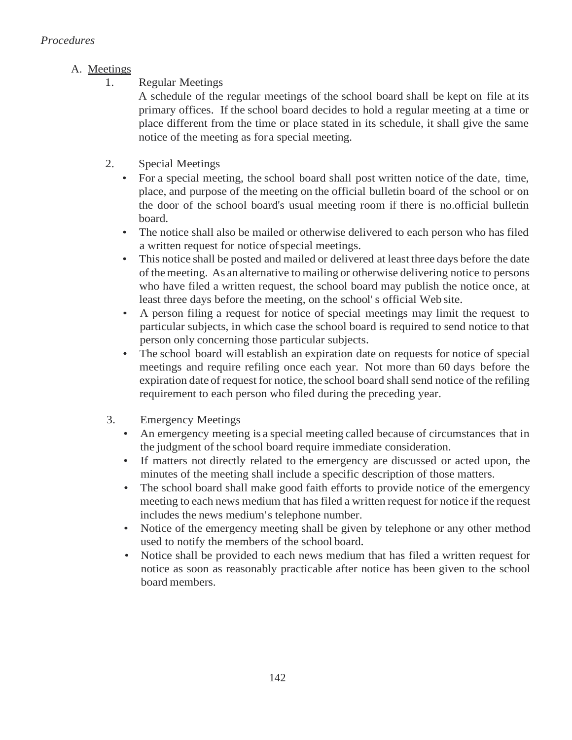# A. Meetings

1. Regular Meetings

A schedule of the regular meetings of the school board shall be kept on file at its primary offices. If the school board decides to hold a regular meeting at a time or place different from the time or place stated in its schedule, it shall give the same notice of the meeting as fora special meeting.

- 2. Special Meetings
	- For a special meeting, the school board shall post written notice of the date, time, place, and purpose of the meeting on the official bulletin board of the school or on the door of the school board's usual meeting room if there is no.official bulletin board.
	- The notice shall also be mailed or otherwise delivered to each person who has filed a written request for notice ofspecial meetings.
	- This notice shall be posted and mailed or delivered at least three days before the date of themeeting. As an alternative to mailing or otherwise delivering notice to persons who have filed a written request, the school board may publish the notice once, at least three days before the meeting, on the school' s official Web site.
	- A person filing a request for notice of special meetings may limit the request to particular subjects, in which case the school board is required to send notice to that person only concerning those particular subjects.
	- The school board will establish an expiration date on requests for notice of special meetings and require refiling once each year. Not more than 60 days before the expiration date of request for notice, the school board shall send notice of the refiling requirement to each person who filed during the preceding year.
- 3. Emergency Meetings
	- An emergency meeting is a special meeting called because of circumstances that in the judgment of the school board require immediate consideration.
	- If matters not directly related to the emergency are discussed or acted upon, the minutes of the meeting shall include a specific description of those matters.
	- The school board shall make good faith efforts to provide notice of the emergency meeting to each news medium that has filed a written request for notice ifthe request includes the news medium's telephone number.
	- Notice of the emergency meeting shall be given by telephone or any other method used to notify the members of the school board.
	- Notice shall be provided to each news medium that has filed a written request for notice as soon as reasonably practicable after notice has been given to the school board members.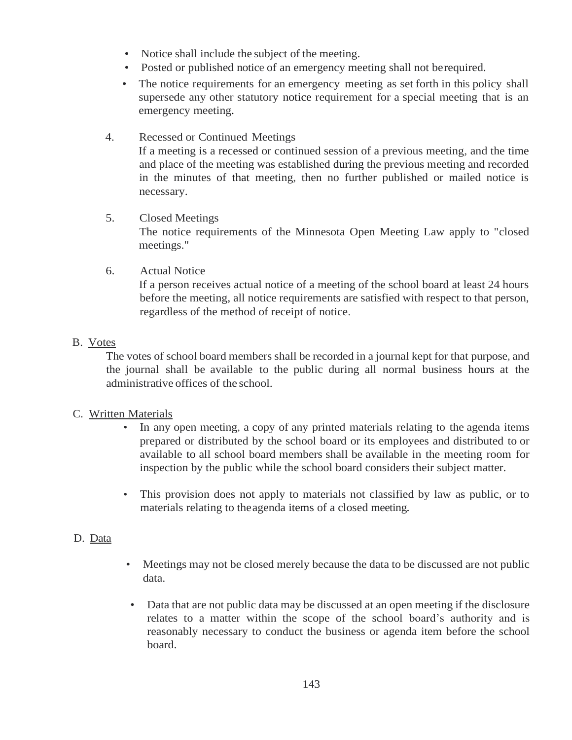- Notice shall include the subject of the meeting.
- Posted or published notice of an emergency meeting shall not berequired.
- The notice requirements for an emergency meeting as set forth in this policy shall supersede any other statutory notice requirement for a special meeting that is an emergency meeting.

# 4. Recessed or Continued Meetings

If a meeting is a recessed or continued session of a previous meeting, and the time and place of the meeting was established during the previous meeting and recorded in the minutes of that meeting, then no further published or mailed notice is necessary.

#### 5. Closed Meetings

The notice requirements of the Minnesota Open Meeting Law apply to "closed meetings."

6. Actual Notice

If a person receives actual notice of a meeting of the school board at least 24 hours before the meeting, all notice requirements are satisfied with respect to that person, regardless of the method of receipt of notice.

# B. Votes

The votes of school board members shall be recorded in a journal kept for that purpose, and the journal shall be available to the public during all normal business hours at the administrative offices of the school.

# C. Written Materials

- In any open meeting, a copy of any printed materials relating to the agenda items prepared or distributed by the school board or its employees and distributed to or available to all school board members shall be available in the meeting room for inspection by the public while the school board considers their subject matter.
- This provision does not apply to materials not classified by law as public, or to materials relating to theagenda items of a closed meeting.

# D. Data

- Meetings may not be closed merely because the data to be discussed are not public data.
- Data that are not public data may be discussed at an open meeting if the disclosure relates to a matter within the scope of the school board's authority and is reasonably necessary to conduct the business or agenda item before the school board.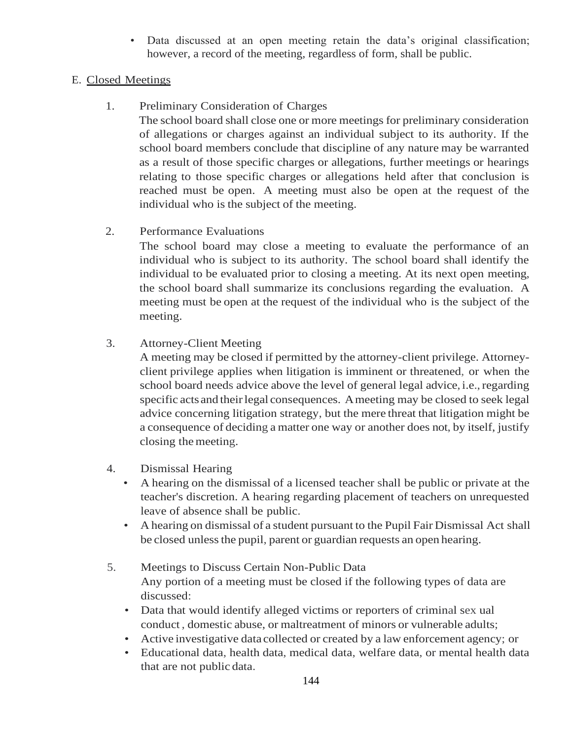• Data discussed at an open meeting retain the data's original classification; however, a record of the meeting, regardless of form, shall be public.

# E. Closed Meetings

1. Preliminary Consideration of Charges

The school board shall close one or more meetings for preliminary consideration of allegations or charges against an individual subject to its authority. If the school board members conclude that discipline of any nature may be warranted as a result of those specific charges or allegations, further meetings or hearings relating to those specific charges or allegations held after that conclusion is reached must be open. A meeting must also be open at the request of the individual who is the subject of the meeting.

2. Performance Evaluations

The school board may close a meeting to evaluate the performance of an individual who is subject to its authority. The school board shall identify the individual to be evaluated prior to closing a meeting. At its next open meeting, the school board shall summarize its conclusions regarding the evaluation. A meeting must be open at the request of the individual who is the subject of the meeting.

3. Attorney-Client Meeting

A meeting may be closed if permitted by the attorney-client privilege. Attorneyclient privilege applies when litigation is imminent or threatened, or when the school board needs advice above the level of general legal advice, i.e., regarding specific acts and their legal consequences. A meeting may be closed to seek legal advice concerning litigation strategy, but the mere threat that litigation might be a consequence of deciding a matter one way or another does not, by itself, justify closing themeeting.

- 4. Dismissal Hearing
	- A hearing on the dismissal of a licensed teacher shall be public or private at the teacher's discretion. A hearing regarding placement of teachers on unrequested leave of absence shall be public.
	- A hearing on dismissal of a student pursuant to the Pupil Fair Dismissal Act shall be closed unless the pupil, parent or guardian requests an open hearing.
- 5. Meetings to Discuss Certain Non-Public Data Any portion of a meeting must be closed if the following types of data are discussed:
	- Data that would identify alleged victims or reporters of criminal sex ual conduct , domestic abuse, or maltreatment of minors or vulnerable adults;
	- Active investigative data collected or created by a law enforcement agency; or
	- Educational data, health data, medical data, welfare data, or mental health data that are not public data.